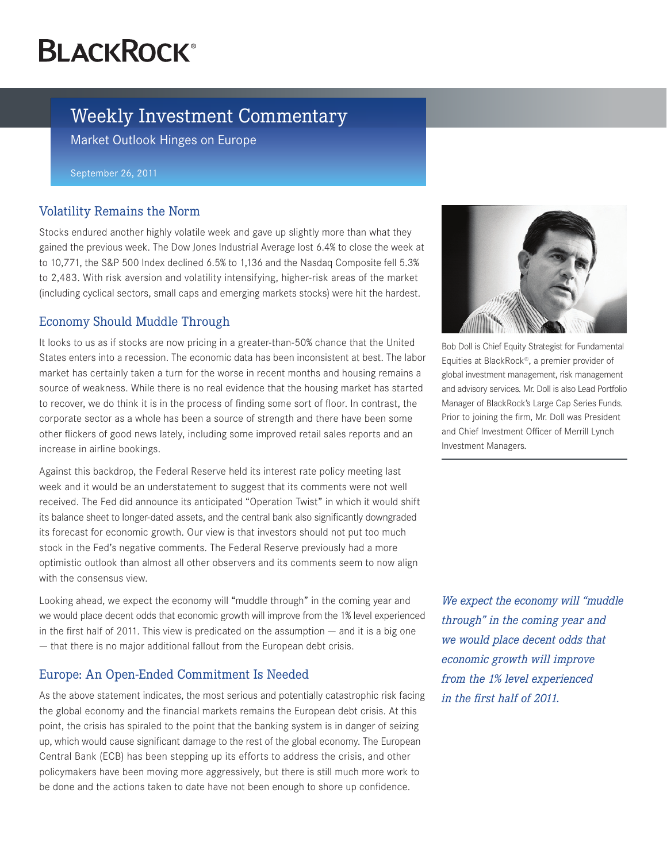# **BLACKROCK®**

# Weekly Investment Commentary

Market Outlook Hinges on Europe

September 26, 2011

#### Volatility Remains the Norm

Stocks endured another highly volatile week and gave up slightly more than what they gained the previous week. The Dow Jones Industrial Average lost 6.4% to close the week at to 10,771, the S&P 500 Index declined 6.5% to 1,136 and the Nasdaq Composite fell 5.3% to 2,483. With risk aversion and volatility intensifying, higher-risk areas of the market (including cyclical sectors, small caps and emerging markets stocks) were hit the hardest.

## Economy Should Muddle Through

It looks to us as if stocks are now pricing in a greater-than-50% chance that the United States enters into a recession. The economic data has been inconsistent at best. The labor market has certainly taken a turn for the worse in recent months and housing remains a source of weakness. While there is no real evidence that the housing market has started to recover, we do think it is in the process of finding some sort of floor. In contrast, the corporate sector as a whole has been a source of strength and there have been some other flickers of good news lately, including some improved retail sales reports and an increase in airline bookings.

Against this backdrop, the Federal Reserve held its interest rate policy meeting last week and it would be an understatement to suggest that its comments were not well received. The Fed did announce its anticipated "Operation Twist" in which it would shift its balance sheet to longer-dated assets, and the central bank also significantly downgraded its forecast for economic growth. Our view is that investors should not put too much stock in the Fed's negative comments. The Federal Reserve previously had a more optimistic outlook than almost all other observers and its comments seem to now align with the consensus view.

Looking ahead, we expect the economy will "muddle through" in the coming year and we would place decent odds that economic growth will improve from the 1% level experienced in the first half of 2011. This view is predicated on the assumption — and it is a big one — that there is no major additional fallout from the European debt crisis.

### Europe: An Open-Ended Commitment Is Needed

As the above statement indicates, the most serious and potentially catastrophic risk facing the global economy and the financial markets remains the European debt crisis. At this point, the crisis has spiraled to the point that the banking system is in danger of seizing up, which would cause significant damage to the rest of the global economy. The European Central Bank (ECB) has been stepping up its efforts to address the crisis, and other policymakers have been moving more aggressively, but there is still much more work to be done and the actions taken to date have not been enough to shore up confidence.



Bob Doll is Chief Equity Strategist for Fundamental Equities at BlackRock®, a premier provider of global investment management, risk management and advisory services. Mr. Doll is also Lead Portfolio Manager of BlackRock's Large Cap Series Funds. Prior to joining the firm, Mr. Doll was President and Chief Investment Officer of Merrill Lynch Investment Managers.

*We expect the economy will "muddle through" in the coming year and we would place decent odds that economic growth will improve from the 1% level experienced in the first half of 2011.*